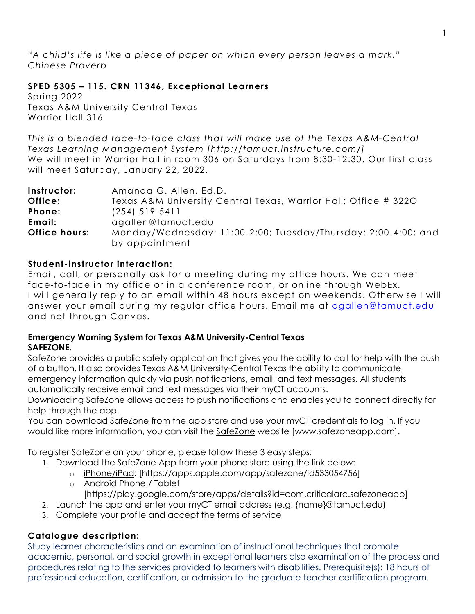*"A child's life is like a piece of paper on which every person leaves a mark." Chinese Proverb*

# **SPED 5305 – 115. CRN 11346, Exceptional Learners**

Spring 2022 Texas A&M University Central Texas Warrior Hall 316

*This is a blended face-to-face class that will make use of the Texas A&M-Central Texas Learning Management System [http://tamuct.instructure.com/]* We will meet in Warrior Hall in room 306 on Saturdays from 8:30-12:30. Our first class will meet Saturday, January 22, 2022.

| Instructor:          | Amanda G. Allen, Ed.D.                                                           |  |  |
|----------------------|----------------------------------------------------------------------------------|--|--|
| Office:              | Texas A&M University Central Texas, Warrior Hall; Office # 3220                  |  |  |
| Phone:               | $(254)$ 519-5411                                                                 |  |  |
| Email:               | agallen@tamuct.edu                                                               |  |  |
| <b>Office hours:</b> | Monday/Wednesday: 11:00-2:00; Tuesday/Thursday: 2:00-4:00; and<br>by appointment |  |  |

## **Student-instructor interaction:**

Email, call, or personally ask for a meeting during my office hours. We can meet face-to-face in my office or in a conference room, or online through WebEx. I will generally reply to an email within 48 hours except on weekends. Otherwise I will answer your email during my regular office hours. Email me at [agallen@tamuct.edu](mailto:agallen@tamuct.edu) and not through Canvas.

## **Emergency Warning System for Texas A&M University-Central Texas SAFEZONE.**

SafeZone provides a public safety application that gives you the ability to call for help with the push of a button. It also provides Texas A&M University-Central Texas the ability to communicate emergency information quickly via push notifications, email, and text messages. All students automatically receive email and text messages via their myCT accounts.

Downloading SafeZone allows access to push notifications and enables you to connect directly for help through the app.

You can download SafeZone from the app store and use your myCT credentials to log in. If you would like more information, you can visit the [SafeZone](http://www.safezoneapp.com/) website [www.safezoneapp.com].

To register SafeZone on your phone, please follow these 3 easy steps*:*

- 1. Download the SafeZone App from your phone store using the link below:
	- o [iPhone/iPad:](https://apps.apple.com/app/safezone/id533054756) [https://apps.apple.com/app/safezone/id533054756]
	- o [Android Phone / Tablet](https://play.google.com/store/apps/details?id=com.criticalarc.safezoneapp) [https://play.google.com/store/apps/details?id=com.criticalarc.safezoneapp]
- 2. Launch the app and enter your myCT email address (e.g. {name}@tamuct.edu)
- 3. Complete your profile and accept the terms of service

# **Catalogue description:**

Study learner characteristics and an examination of instructional techniques that promote academic, personal, and social growth in exceptional learners also examination of the process and procedures relating to the services provided to learners with disabilities. Prerequisite(s): 18 hours of professional education, certification, or admission to the graduate teacher certification program.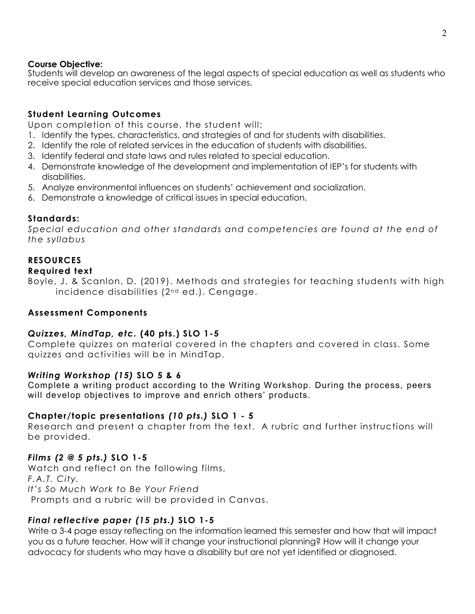### **Course Objective:**

Students will develop an awareness of the legal aspects of special education as well as students who receive special education services and those services.

## **Student Learning Outcomes**

Upon completion of this course, the student will:

- 1. Identify the types, characteristics, and strategies of and for students with disabilities.
- 2. Identify the role of related services in the education of students with disabilities.
- 3. Identify federal and state laws and rules related to special education.
- 4. Demonstrate knowledge of the development and implementation of IEP's for students with disabilities.
- 5. Analyze environmental influences on students' achievement and socialization.
- 6. Demonstrate a knowledge of critical issues in special education.

## **Standards:**

*Special education and other standards and competencies are found at the end of the syllabus*

## **RESOURCES**

### **Required text**

Boyle, J. & Scanlon, D. (2019). Methods and strategies for teaching students with high incidence disabilities (2<sup>nd</sup> ed.). Cengage.

## **Assessment Components**

## *Quizzes, MindTap, etc.* **(40 pts.) SLO 1-5**

Complete quizzes on material covered in the chapters and covered in class. Some quizzes and activities will be in MindTap.

## *Writing Workshop (15)* **SLO 5 & 6**

Complete a writing product according to the Writing Workshop. During the process, peers will develop objectives to improve and enrich others' products.

### **Chapter/topic presentations** *(10 pts.)* **SLO 1 - 5**

Research and present a chapter from the text. A rubric and further instructions will be provided.

### *Films (2 @ 5 pts.)* **SLO 1-5**

Watch and reflect on the following films, *F.A.T. City. It's So Much Work to Be Your Friend* Prompts and a rubric will be provided in Canvas.

## *Final reflective paper (15 pts.)* **SLO 1-5**

Write a 3-4 page essay reflecting on the information learned this semester and how that will impact you as a future teacher. How will it change your instructional planning? How will it change your advocacy for students who may have a disability but are not yet identified or diagnosed.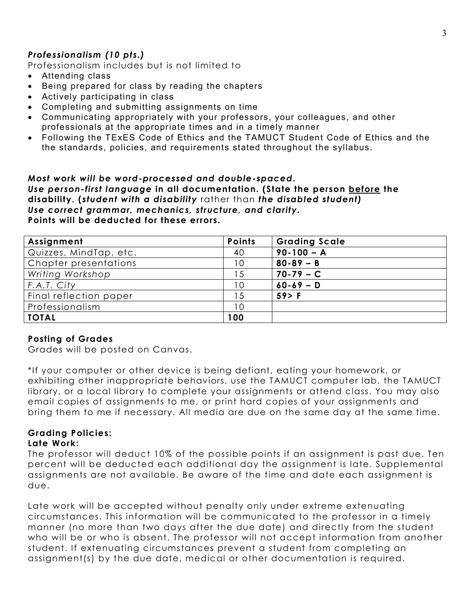## *Professionalism (10 pts.)*

Professionalism includes but is not limited to

- Attending class
- Being prepared for class by reading the chapters
- Actively participating in class
- Completing and submitting assignments on time
- Communicating appropriately with your professors, your colleagues, and other professionals at the appropriate times and in a timely manner
- Following the TExES Code of Ethics and the TAMUCT Student Code of Ethics and the the standards, policies, and requirements stated throughout the syllabus.

### *Most work will be word-processed and double-spaced***.** *Use person-first language* **in all documentation. (State the person before the disability. (***student with a disability* rather than *the disabled student) Use correct grammar, mechanics, structure, and clarity.* **Points will be deducted for these errors.**

| Assignment             | <b>Points</b> | <b>Grading Scale</b> |
|------------------------|---------------|----------------------|
| Quizzes, MindTap, etc. | 40            | $90 - 100 - A$       |
| Chapter presentations  | 10            | $80 - 89 - B$        |
| Writing Workshop       | -5            | $70-79 - C$          |
| F.A.T. City            | 10            | $60 - 69 - D$        |
| Final reflection paper | -5            | $59$ F               |
| Professionalism        | 10            |                      |
| <b>TOTAL</b>           | 100           |                      |

### **Posting of Grades**

Grades will be posted on Canvas.

\*If your computer or other device is being defiant, eating your homework, or exhibiting other inappropriate behaviors, use the TAMUCT computer lab, the TAMUCT library, or a local library to complete your assignments or attend class. You may also email copies of assignments to me, or print hard copies of your assignments and bring them to me if necessary. All media are due on the same day at the same time.

#### **Grading Policies: Late Work:**

The professor will deduct 10% of the possible points if an assignment is past due. Ten percent will be deducted each additional day the assignment is late. Supplemental assignments are not available. Be aware of the time and date each assignment is due.

Late work will be accepted without penalty only under extreme extenuating circumstances. This information will be communicated to the professor in a timely manner (no more than two days after the due date) and directly from the student who will be or who is absent. The professor will not accept information from another student. If extenuating circumstances prevent a student from completing an assignment(s) by the due date, medical or other documentation is required.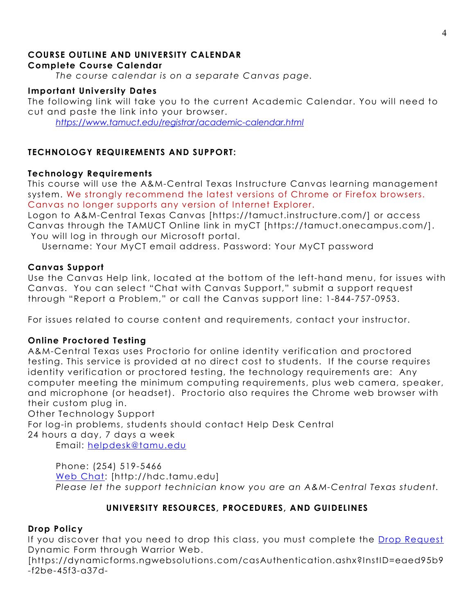#### **COURSE OUTLINE AND UNIVERSITY CALENDAR Complete Course Calendar**

*The course calendar is on a separate Canvas page.*

## **Important University Dates**

The following link will take you to the current Academic Calendar. You will need to cut and paste the link into your browser.

*<https://www.tamuct.edu/registrar/academic-calendar.html>*

# **TECHNOLOGY REQUIREMENTS AND SUPPORT:**

## **Technology Requirements**

This course will use the A&M-Central Texas Instructure Canvas learning management system. We strongly recommend the latest versions of Chrome or Firefox browsers. Canvas no longer supports any version of Internet Explorer.

Logon to A&M-Central Texas Canvas [https://tamuct.instructure.com/] or access Canvas through the TAMUCT Online link in myCT [https://tamuct.onecampus.com/]. You will log in through our Microsoft portal.

Username: Your MyCT email address. Password: Your MyCT password

# **Canvas Support**

Use the Canvas Help link, located at the bottom of the left-hand menu, for issues with Canvas. You can select "Chat with Canvas Support," submit a support request through "Report a Problem," or call the Canvas support line: 1-844-757-0953.

For issues related to course content and requirements, contact your instructor.

# **Online Proctored Testing**

A&M-Central Texas uses Proctorio for online identity verification and proctored testing. This service is provided at no direct cost to students. If the course requires identity verification or proctored testing, the technology requirements are: Any computer meeting the minimum computing requirements, plus web camera, speaker, and microphone (or headset). Proctorio also requires the Chrome web browser with their custom plug in.

Other Technology Support

For log-in problems, students should contact Help Desk Central 24 hours a day, 7 days a week

Email: [helpdesk@tamu.edu](mailto:helpdesk@tamu.edu)

Phone: (254) 519-5466 [Web Chat:](http://hdc.tamu.edu/) [http://hdc.tamu.edu] *Please let the support technician know you are an A&M-Central Texas student.*

# **UNIVERSITY RESOURCES, PROCEDURES, AND GUIDELINES**

# **Drop Policy**

If you discover that you need to drop this class, you must complete the [Drop Request](https://dynamicforms.ngwebsolutions.com/casAuthentication.ashx?InstID=eaed95b9-f2be-45f3-a37d-46928168bc10&targetUrl=https%3A%2F%2Fdynamicforms.ngwebsolutions.com%2FSubmit%2FForm%2FStart%2F53b8369e-0502-4f36-be43-f02a4202f612) Dynamic Form through Warrior Web.

[https://dynamicforms.ngwebsolutions.com/casAuthentication.ashx?InstID=eaed95b9 -f2be-45f3-a37d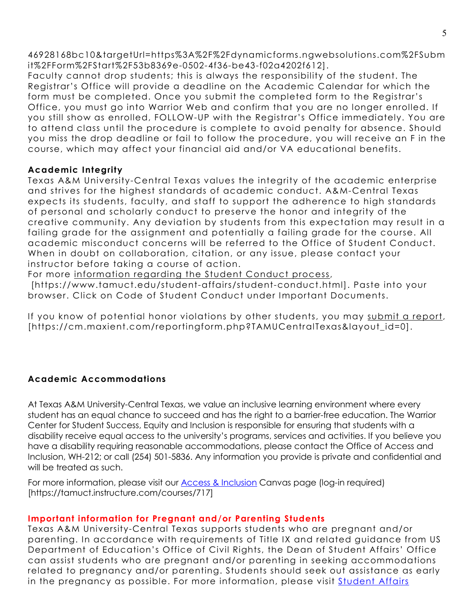46928168bc10&targetUrl=https%3A%2F%2Fdynamicforms.ngwebsolutions.com%2FSubm it%2FForm%2FStart%2F53b8369e-0502-4f36-be43-f02a4202f612].

Faculty cannot drop students; this is always the responsibility of the student. The Registrar's Office will provide a deadline on the Academic Calendar for which the form must be completed. Once you submit the completed form to the Registrar's Office, you must go into Warrior Web and confirm that you are no longer enrolled. If you still show as enrolled, FOLLOW-UP with the Registrar's Office immediately. You are to attend class until the procedure is complete to avoid penalty for absence. Should you miss the drop deadline or fail to follow the procedure, you will receive an F in the course, which may affect your financial aid and/or VA educational benefits.

## **Academic Integrity**

Texas A&M University-Central Texas values the integrity of the academic enterprise and strives for the highest standards of academic conduct. A&M-Central Texas expects its students, faculty, and staff to support the adherence to high standards of personal and scholarly conduct to preserve the honor and integrity of the creative community. Any deviation by students from this expectation may result in a failing grade for the assignment and potentially a failing grade for the course. All academic misconduct concerns will be referred to the Office of Student Conduct. When in doubt on collaboration, citation, or any issue, please contact your instructor before taking a course of action.

For more [information](https://nam04.safelinks.protection.outlook.com/?url=https%3A%2F%2Fwww.tamuct.edu%2Fstudent-affairs%2Fstudent-conduct.html&data=04%7C01%7Clisa.bunkowski%40tamuct.edu%7Ccfb6e486f24745f53e1a08d910055cb2%7C9eed4e3000f744849ff193ad8005acec%7C0%7C0%7C637558437485252160%7CUnknown%7CTWFpbGZsb3d8eyJWIjoiMC4wLjAwMDAiLCJQIjoiV2luMzIiLCJBTiI6Ik1haWwiLCJXVCI6Mn0%3D%7C1000&sdata=yjftDEVHvLX%2FhM%2FcFU0B99krV1RgEWR%2BJ%2BhvtoR6TYk%3D&reserved=0) regarding the Student Conduct process,

[https://www.tamuct.edu/student-affairs/student-conduct.html]. Paste into your browser. Click on Code of Student Conduct under Important Documents.

If you know of potential honor violations by other students, you may submit a [report,](https://nam04.safelinks.protection.outlook.com/?url=https%3A%2F%2Fcm.maxient.com%2Freportingform.php%3FTAMUCentralTexas%26layout_id%3D0&data=04%7C01%7Clisa.bunkowski%40tamuct.edu%7Ccfb6e486f24745f53e1a08d910055cb2%7C9eed4e3000f744849ff193ad8005acec%7C0%7C0%7C637558437485262157%7CUnknown%7CTWFpbGZsb3d8eyJWIjoiMC4wLjAwMDAiLCJQIjoiV2luMzIiLCJBTiI6Ik1haWwiLCJXVCI6Mn0%3D%7C1000&sdata=CXGkOa6uPDPX1IMZ87z3aZDq2n91xfHKu4MMS43Ejjk%3D&reserved=0) [https://cm.maxient.com/reportingform.php?TAMUCentralTexas&layout\_id=0].

# **Academic Accommodations**

At Texas A&M University-Central Texas, we value an inclusive learning environment where every student has an equal chance to succeed and has the right to a barrier-free education. The Warrior Center for Student Success, Equity and Inclusion is responsible for ensuring that students with a disability receive equal access to the university's programs, services and activities. If you believe you have a disability requiring reasonable accommodations, please contact the Office of Access and Inclusion, WH-212; or call (254) 501-5836. Any information you provide is private and confidential and will be treated as such.

For more information, please visit our [Access & Inclusion](https://tamuct.instructure.com/courses/717) Canvas page (log-in required) [https://tamuct.instructure.com/courses/717]

# **Important information for Pregnant and/or Parenting Students**

Texas A&M University-Central Texas supports students who are pregnant and/or parenting. In accordance with requirements of Title IX and related guidance from US Department of Education's Office of Civil Rights, the Dean of Student Affairs' Office can assist students who are pregnant and/or parenting in seeking accommodations related to pregnancy and/or parenting. Students should seek out assistance as early in the pregnancy as possible. For more information, please visit [Student Affairs](https://www.tamuct.edu/student-affairs/index.html)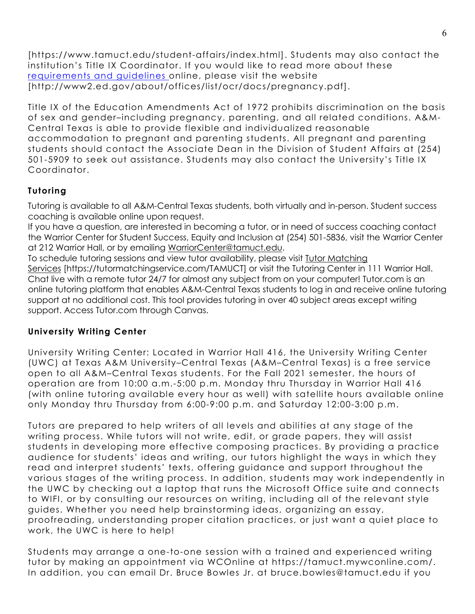[https://www.tamuct.edu/student-affairs/index.html]. Students may also contact the institution's Title IX Coordinator. If you would like to read more about these [requirements and guidelines](http://www2.ed.gov/about/offices/list/ocr/docs/pregnancy.pdf) online, please visit the website [http://www2.ed.gov/about/offices/list/ocr/docs/pregnancy.pdf].

Title IX of the Education Amendments Act of 1972 prohibits discrimination on the basis of sex and gender–including pregnancy, parenting, and all related conditions. A&M-Central Texas is able to provide flexible and individualized reasonable accommodation to pregnant and parenting students. All pregnant and parenting students should contact the Associate Dean in the Division of Student Affairs at (254) 501-5909 to seek out assistance. Students may also contact the University's Title IX Coordinator.

# **Tutoring**

Tutoring is available to all A&M-Central Texas students, both virtually and in-person. Student success coaching is available online upon request.

If you have a question, are interested in becoming a tutor, or in need of success coaching contact the Warrior Center for Student Success, Equity and Inclusion at (254) 501-5836, visit the Warrior Center at 212 Warrior Hall, or by emailing [WarriorCenter@tamuct.edu.](mailto:WarriorCenter@tamuct.edu)

To schedule tutoring sessions and view tutor availability, please visit Tutor [Matching](https://tutormatchingservice.com/TAMUCT) [Services](https://tutormatchingservice.com/TAMUCT) [https://tutormatchingservice.com/TAMUCT] or visit the Tutoring Center in 111 Warrior Hall. Chat live with a remote tutor 24/7 for almost any subject from on your computer! Tutor.com is an online tutoring platform that enables A&M-Central Texas students to log in and receive online tutoring support at no additional cost. This tool provides tutoring in over 40 subject areas except writing support. Access Tutor.com through Canvas.

# **University Writing Center**

University Writing Center: Located in Warrior Hall 416, the University Writing Center (UWC) at Texas A&M University–Central Texas (A&M–Central Texas) is a free service open to all A&M–Central Texas students. For the Fall 2021 semester, the hours of operation are from 10:00 a.m.-5:00 p.m. Monday thru Thursday in Warrior Hall 416 (with online tutoring available every hour as well) with satellite hours available online only Monday thru Thursday from 6:00-9:00 p.m. and Saturday 12:00-3:00 p.m.

Tutors are prepared to help writers of all levels and abilities at any stage of the writing process. While tutors will not write, edit, or grade papers, they will assist students in developing more effective composing practices. By providing a practice audience for students' ideas and writing, our tutors highlight the ways in which they read and interpret students' texts, offering guidance and support throughout the various stages of the writing process. In addition, students may work independently in the UWC by checking out a laptop that runs the Microsoft Office suite and connects to WIFI, or by consulting our resources on writing, including all of the relevant style guides. Whether you need help brainstorming ideas, organizing an essay, proofreading, understanding proper citation practices, or just want a quiet place to work, the UWC is here to help!

Students may arrange a one-to-one session with a trained and experienced writing tutor by making an appointment via WCOnline at https://tamuct.mywconline.com/. In addition, you can email Dr. Bruce Bowles Jr. at bruce.bowles@tamuct.edu if you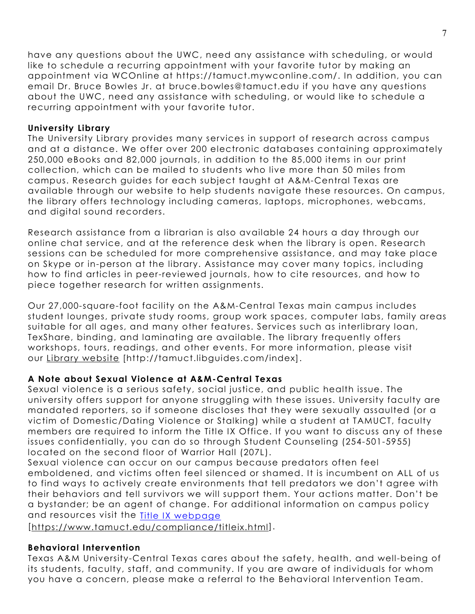have any questions about the UWC, need any assistance with scheduling, or would like to schedule a recurring appointment with your favorite tutor by making an appointment via WCOnline at https://tamuct.mywconline.com/. In addition, you can email Dr. Bruce Bowles Jr. at bruce.bowles@tamuct.edu if you have any questions about the UWC, need any assistance with scheduling, or would like to schedule a recurring appointment with your favorite tutor.

### **University Library**

The University Library provides many services in support of research across campus and at a distance. We offer over 200 electronic databases containing approximately 250,000 eBooks and 82,000 journals, in addition to the 85,000 items in our print collection, which can be mailed to students who live more than 50 miles from campus. Research guides for each subject taught at A&M-Central Texas are available through our website to help students navigate these resources. On campus, the library offers technology including cameras, laptops, microphones, webcams, and digital sound recorders.

Research assistance from a librarian is also available 24 hours a day through our online chat service, and at the reference desk when the library is open. Research sessions can be scheduled for more comprehensive assistance, and may take place on Skype or in-person at the library. Assistance may cover many topics, including how to find articles in peer-reviewed journals, how to cite resources, and how to piece together research for written assignments.

Our 27,000-square-foot facility on the A&M-Central Texas main campus includes student lounges, private study rooms, group work spaces, computer labs, family areas suitable for all ages, and many other features. Services such as interlibrary loan, TexShare, binding, and laminating are available. The library frequently offers workshops, tours, readings, and other events. For more information, please visit our Library [website](https://tamuct.libguides.com/index) [http://tamuct.libguides.com/index].

## **A Note about Sexual Violence at A&M-Central Texas**

Sexual violence is a serious safety, social justice, and public health issue. The university offers support for anyone struggling with these issues. University faculty are mandated reporters, so if someone discloses that they were sexually assaulted (or a victim of Domestic/Dating Violence or Stalking) while a student at TAMUCT, faculty members are required to inform the Title IX Office. If you want to discuss any of these issues confidentially, you can do so through Student Counseling (254-501-5955) located on the second floor of Warrior Hall (207L).

Sexual violence can occur on our campus because predators often feel emboldened, and victims often feel silenced or shamed. It is incumbent on ALL of us to find ways to actively create environments that tell predators we don't agree with their behaviors and tell survivors we will support them. Your actions matter. Don't be a bystander; be an agent of change. For additional information on campus policy and resources visit the [Title IX webpage](https://www.tamuct.edu/compliance/titleix.html)

[\[https://www.tamuct.edu/compliance/titleix.html\]](https://www.tamuct.edu/compliance/titleix.html).

## **Behavioral Intervention**

Texas A&M University-Central Texas cares about the safety, health, and well-being of its students, faculty, staff, and community. If you are aware of individuals for whom you have a concern, please make a referral to the Behavioral Intervention Team.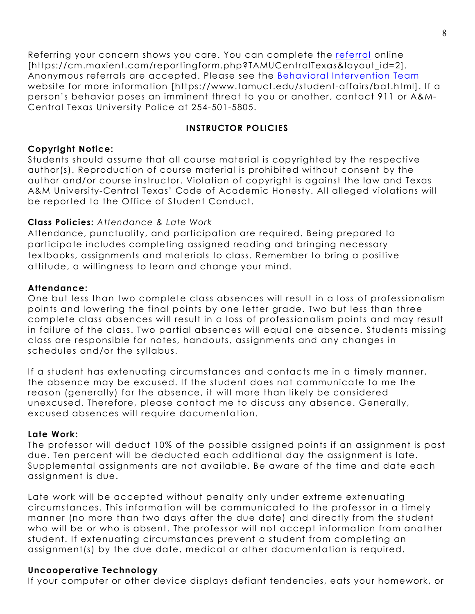Referring your concern shows you care. You can complete the [referral](https://cm.maxient.com/reportingform.php?TAMUCentralTexas&layout_id=2) online [https://cm.maxient.com/reportingform.php?TAMUCentralTexas&layout\_id=2]. Anonymous referrals are accepted. Please see the **Behavioral Intervention Team** website for more information [https://www.tamuct.edu/student-affairs/bat.html]. If a person's behavior poses an imminent threat to you or another, contact 911 or A&M-Central Texas University Police at 254-501-5805.

## **INSTRUCTOR POLICIES**

## **Copyright Notice:**

Students should assume that all course material is copyrighted by the respective author(s). Reproduction of course material is prohibited without consent by the author and/or course instructor. Violation of copyright is against the law and Texas A&M University-Central Texas' Code of Academic Honesty. All alleged violations will be reported to the Office of Student Conduct.

# **Class Policies:** *Attendance & Late Work*

Attendance, punctuality, and participation are required. Being prepared to participate includes completing assigned reading and bringing necessary textbooks, assignments and materials to class. Remember to bring a positive attitude, a willingness to learn and change your mind.

## **Attendance:**

One but less than two complete class absences will result in a loss of professionalism points and lowering the final points by one letter grade. Two but less than three complete class absences will result in a loss of professionalism points and may result in failure of the class. Two partial absences will equal one absence. Students missing class are responsible for notes, handouts, assignments and any changes in schedules and/or the syllabus.

If a student has extenuating circumstances and contacts me in a timely manner, the absence may be excused. If the student does not communicate to me the reason (generally) for the absence, it will more than likely be considered unexcused. Therefore, please contact me to discuss any absence. Generally, excused absences will require documentation.

## **Late Work:**

The professor will deduct 10% of the possible assigned points if an assignment is past due. Ten percent will be deducted each additional day the assignment is late. Supplemental assignments are not available. Be aware of the time and date each assignment is due.

Late work will be accepted without penalty only under extreme extenuating circumstances. This information will be communicated to the professor in a timely manner (no more than two days after the due date) and directly from the student who will be or who is absent. The professor will not accept information from another student. If extenuating circumstances prevent a student from completing an assignment(s) by the due date, medical or other documentation is required.

# **Uncooperative Technology**

If your computer or other device displays defiant tendencies, eats your homework, or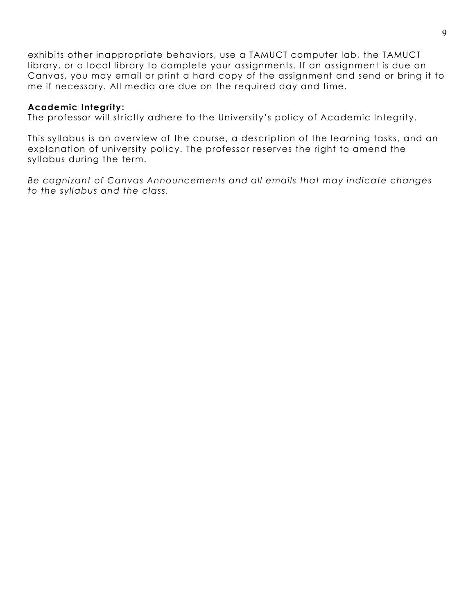exhibits other inappropriate behaviors, use a TAMUCT computer lab, the TAMUCT library, or a local library to complete your assignments. If an assignment is due on Canvas, you may email or print a hard copy of the assignment and send or bring it to me if necessary. All media are due on the required day and time.

### **Academic Integrity:**

The professor will strictly adhere to the University's policy of Academic Integrity.

This syllabus is an overview of the course, a description of the learning tasks, and an explanation of university policy. The professor reserves the right to amend the syllabus during the term.

*Be cognizant of Canvas Announcements and all emails that may indicate changes to the syllabus and the class.*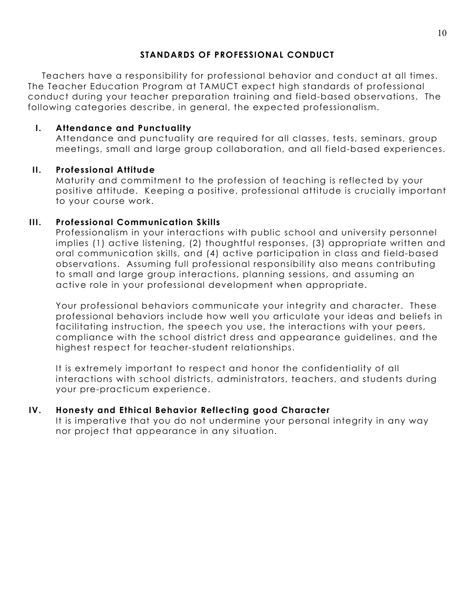# **STANDARDS OF PROFESSIONAL CONDUCT**

Teachers have a responsibility for professional behavior and conduct at all times. The Teacher Education Program at TAMUCT expect high standards of professional conduct during your teacher preparation training and field-based observations. The following categories describe, in general, the expected professionalism.

# **I. Attendance and Punctuality**

Attendance and punctuality are required for all classes, tests, seminars, group meetings, small and large group collaboration, and all field-based experiences.

## **II. Professional Attitude**

Maturity and commitment to the profession of teaching is reflected by your positive attitude. Keeping a positive, professional attitude is crucially important to your course work.

## **III. Professional Communication Skills**

Professionalism in your interactions with public school and university personnel implies (1) active listening, (2) thoughtful responses, (3) appropriate written and oral communication skills, and (4) active participation in class and field-based observations. Assuming full professional responsibility also means contributing to small and large group interactions, planning sessions, and assuming an active role in your professional development when appropriate.

Your professional behaviors communicate your integrity and character. These professional behaviors include how well you articulate your ideas and beliefs in facilitating instruction, the speech you use, the interactions with your peers, compliance with the school district dress and appearance guidelines, and the highest respect for teacher-student relationships.

It is extremely important to respect and honor the confidentiality of all interactions with school districts, administrators, teachers, and students during your pre-practicum experience.

## **IV. Honesty and Ethical Behavior Reflecting good Character**

It is imperative that you do not undermine your personal integrity in any way nor project that appearance in any situation.